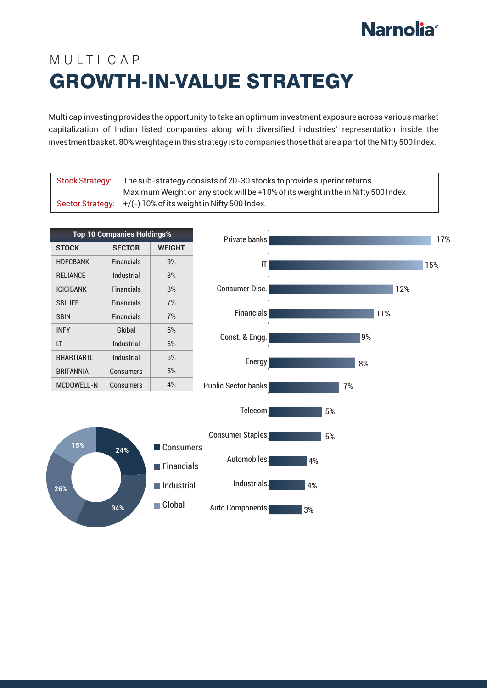## **Narnolia**<sup>®</sup>

## MUITICAP GROWTH-IN-VALUE STRATEGY

Multi cap investing provides the opportunity to take an optimum investment exposure across various market capitalization of Indian listed companies along with diversified industries' representation inside the investment basket. 80% weightage in this strategy is to companies those that are a part of the Nifty 500 Index.

| <b>Stock Strategy:</b>  |                                   |               | The sub-strategy consists of 20-30 stocks to provide superior returns.<br>Maximum Weight on any stock will be +10% of its weight in the in Nifty 500 Index |    |    |    |     |     |     |
|-------------------------|-----------------------------------|---------------|------------------------------------------------------------------------------------------------------------------------------------------------------------|----|----|----|-----|-----|-----|
| <b>Sector Strategy:</b> |                                   |               | +/(-) 10% of its weight in Nifty 500 Index.                                                                                                                |    |    |    |     |     |     |
|                         |                                   |               |                                                                                                                                                            |    |    |    |     |     |     |
|                         | <b>Top 10 Companies Holdings%</b> |               | Private banks                                                                                                                                              |    |    |    |     |     | 17% |
| <b>STOCK</b>            | <b>SECTOR</b>                     | <b>WEIGHT</b> |                                                                                                                                                            |    |    |    |     |     |     |
| <b>HDFCBANK</b>         | <b>Financials</b>                 | 9%            | IT                                                                                                                                                         |    |    |    |     |     | 15% |
| <b>RELIANCE</b>         | Industrial                        | 8%            |                                                                                                                                                            |    |    |    |     |     |     |
| <b>ICICIBANK</b>        | <b>Financials</b>                 | 8%            | <b>Consumer Disc.</b>                                                                                                                                      |    |    |    |     | 12% |     |
| <b>SBILIFE</b>          | <b>Financials</b>                 | 7%            |                                                                                                                                                            |    |    |    |     |     |     |
| <b>SBIN</b>             | <b>Financials</b>                 | 7%            | <b>Financials</b>                                                                                                                                          |    |    |    | 11% |     |     |
| <b>INFY</b>             | Global                            | 6%            | Const. & Engg.                                                                                                                                             |    |    | 9% |     |     |     |
| LT.                     | Industrial                        | 6%            |                                                                                                                                                            |    |    |    |     |     |     |
| <b>BHARTIARTL</b>       | Industrial                        | $5%$          | Energy                                                                                                                                                     |    |    | 8% |     |     |     |
| <b>BRITANNIA</b>        | <b>Consumers</b>                  | $5%$          |                                                                                                                                                            |    |    |    |     |     |     |
| <b>MCDOWELL-N</b>       | <b>Consumers</b>                  | 4%            | <b>Public Sector banks</b>                                                                                                                                 |    | 7% |    |     |     |     |
|                         |                                   |               |                                                                                                                                                            |    |    |    |     |     |     |
|                         |                                   |               | Telecom                                                                                                                                                    |    | 5% |    |     |     |     |
|                         |                                   |               |                                                                                                                                                            |    |    |    |     |     |     |
| 15%                     |                                   | Consumers     | <b>Consumer Staples</b>                                                                                                                                    |    | 5% |    |     |     |     |
|                         | 24%                               |               | Automobiles.                                                                                                                                               | 4% |    |    |     |     |     |
|                         |                                   | Financials    |                                                                                                                                                            |    |    |    |     |     |     |
| 26%                     |                                   | Industrial    | Industrials.                                                                                                                                               | 4% |    |    |     |     |     |
|                         | 34%                               | Global        | Auto Components                                                                                                                                            | 3% |    |    |     |     |     |